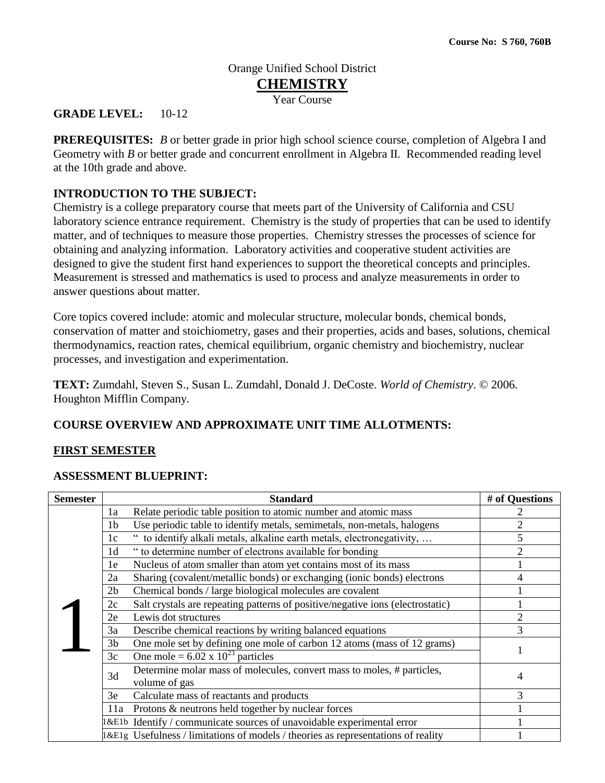# Orange Unified School District **CHEMISTRY** Year Course

# **GRADE LEVEL:** 10-12

**PREREQUISITES:** *B* or better grade in prior high school science course, completion of Algebra I and Geometry with *B* or better grade and concurrent enrollment in Algebra II. Recommended reading level at the 10th grade and above.

# **INTRODUCTION TO THE SUBJECT:**

Chemistry is a college preparatory course that meets part of the University of California and CSU laboratory science entrance requirement. Chemistry is the study of properties that can be used to identify matter, and of techniques to measure those properties. Chemistry stresses the processes of science for obtaining and analyzing information. Laboratory activities and cooperative student activities are designed to give the student first hand experiences to support the theoretical concepts and principles. Measurement is stressed and mathematics is used to process and analyze measurements in order to answer questions about matter.

Core topics covered include: atomic and molecular structure, molecular bonds, chemical bonds, conservation of matter and stoichiometry, gases and their properties, acids and bases, solutions, chemical thermodynamics, reaction rates, chemical equilibrium, organic chemistry and biochemistry, nuclear processes, and investigation and experimentation.

**TEXT:** Zumdahl, Steven S., Susan L. Zumdahl, Donald J. DeCoste. *World of Chemistry*. © 2006. Houghton Mifflin Company.

# **COURSE OVERVIEW AND APPROXIMATE UNIT TIME ALLOTMENTS:**

#### **FIRST SEMESTER**

#### **ASSESSMENT BLUEPRINT:**

| <b>Semester</b> | <b>Standard</b>                                                                      | # of Questions |
|-----------------|--------------------------------------------------------------------------------------|----------------|
|                 | Relate periodic table position to atomic number and atomic mass<br>1a                |                |
|                 | Use periodic table to identify metals, semimetals, non-metals, halogens<br>1b        | $\overline{2}$ |
|                 | " to identify alkali metals, alkaline earth metals, electronegativity,<br>1c         | 5              |
|                 | " to determine number of electrons available for bonding<br>1 <sub>d</sub>           | $\overline{2}$ |
|                 | Nucleus of atom smaller than atom yet contains most of its mass<br>1e                |                |
|                 | Sharing (covalent/metallic bonds) or exchanging (ionic bonds) electrons<br>2a        | 4              |
|                 | Chemical bonds / large biological molecules are covalent<br>2 <sub>b</sub>           |                |
|                 | Salt crystals are repeating patterns of positive/negative ions (electrostatic)<br>2c |                |
|                 | Lewis dot structures<br>2e                                                           | $\overline{2}$ |
|                 | 3a<br>Describe chemical reactions by writing balanced equations                      | 3              |
|                 | One mole set by defining one mole of carbon 12 atoms (mass of 12 grams)<br>3b        |                |
|                 | One mole = $6.02 \times 10^{23}$ particles<br>3c                                     |                |
|                 | Determine molar mass of molecules, convert mass to moles, # particles,<br>3d         | $\overline{4}$ |
|                 | volume of gas                                                                        |                |
|                 | 3e<br>Calculate mass of reactants and products                                       | 3              |
|                 | Protons & neutrons held together by nuclear forces<br>11a                            |                |
|                 | &E1b Identify / communicate sources of unavoidable experimental error                |                |
|                 | 1&E1g Usefulness / limitations of models / theories as representations of reality    |                |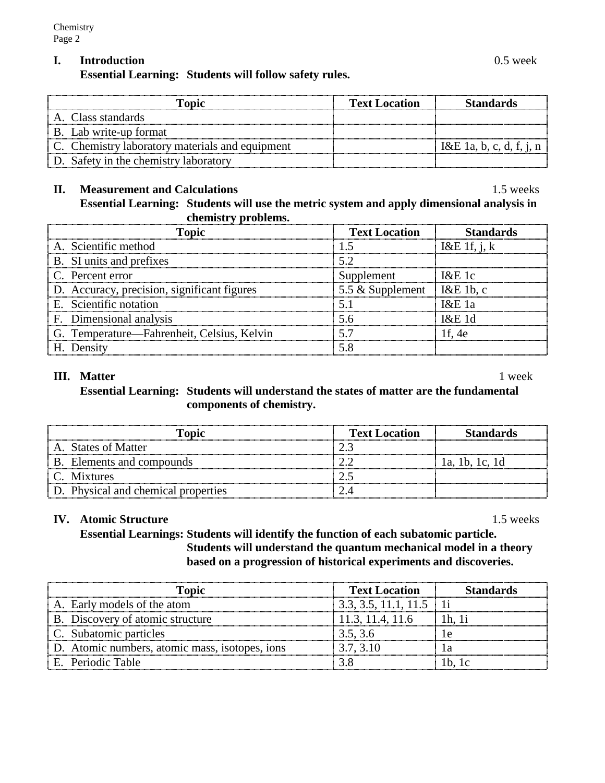# **I. Introduction** 0.5 week

**Essential Learning: Students will follow safety rules.**

| Topic                                           | <b>Text Location</b> | <b>Standards</b>         |
|-------------------------------------------------|----------------------|--------------------------|
| A. Class standards                              |                      |                          |
| B. Lab write-up format                          |                      |                          |
| C. Chemistry laboratory materials and equipment |                      | $I\&E$ 1a, b, c, d, f, j |
| D. Safety in the chemistry laboratory           |                      |                          |

### **II. Measurement and Calculations** 1.5 weeks

**Essential Learning: Students will use the metric system and apply dimensional analysis in chemistry problems.**

| Topic                                       | <b>Text Location</b>         | <b>Standards</b> |
|---------------------------------------------|------------------------------|------------------|
| A. Scientific method                        |                              | I&E 1f, j, $k$   |
| B. SI units and prefixes                    | 52                           |                  |
| C. Percent error                            | Supplement                   | $1\&E1c$         |
| D. Accuracy, precision, significant figures | 5.5 & Supplement   I&E 1b, c |                  |
| E. Scientific notation                      | 5.1                          | $1\&E1a$         |
| F. Dimensional analysis                     | 5.6                          | 1&E1d            |
| G. Temperature—Fahrenheit, Celsius, Kelvin  | 57                           | 1f. 4e           |
| H. Density                                  | 58                           |                  |

### **III.** Matter 1 week

**Essential Learning: Students will understand the states of matter are the fundamental components of chemistry.**

| Topic                               | <b>Text Location</b> | <b>Standards</b> |
|-------------------------------------|----------------------|------------------|
| A. States of Matter                 |                      |                  |
| B. Elements and compounds           |                      | 1a. 1b. 1c. 1d   |
| C. Mixtures                         |                      |                  |
| D. Physical and chemical properties |                      |                  |

# **IV. Atomic Structure** 1.5 weeks

**Essential Learnings: Students will identify the function of each subatomic particle. Students will understand the quantum mechanical model in a theory based on a progression of historical experiments and discoveries.**

| Topic                                          | <b>Text Location</b>      | <b>Standards</b> |
|------------------------------------------------|---------------------------|------------------|
| A. Early models of the atom                    | $3.3, 3.5, 11.1, 11.5$ 1i |                  |
| B. Discovery of atomic structure               | 11.3, 11.4, 11.6          | 1h. 1i           |
| C. Subatomic particles                         | 3.5, 3.6                  |                  |
| D. Atomic numbers, atomic mass, isotopes, ions | 3.7, 3.10                 |                  |
| E. Periodic Table                              |                           | $1b$ , $1c$      |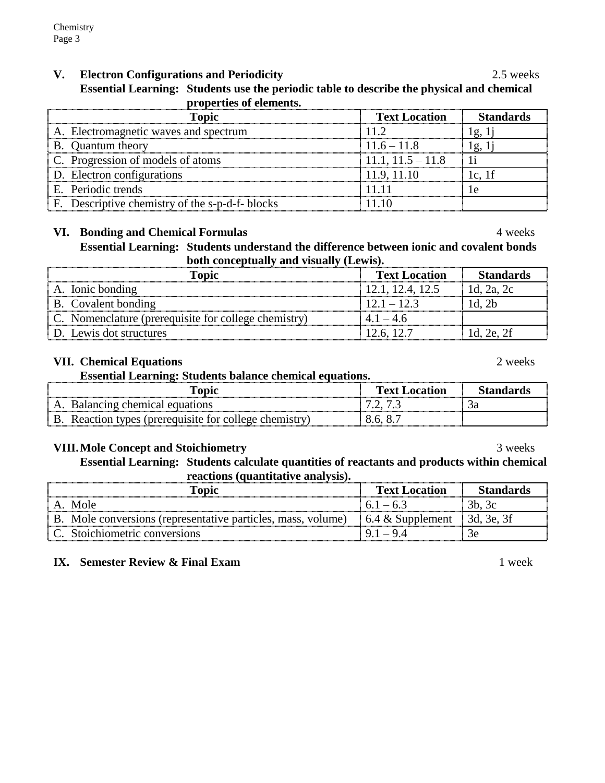# **V. Electron Configurations and Periodicity** 2.5 weeks

1

**Essential Learning: Students use the periodic table to describe the physical and chemical properties of elements.**

| <b>Topic</b>                                    | <b>Text Location</b> | <b>Standards</b> |
|-------------------------------------------------|----------------------|------------------|
| A. Electromagnetic waves and spectrum           | 11.2                 | 1g, 1            |
| B. Quantum theory                               | $11.6 - 11.8$        | $\pm$ 1g, $\pm$  |
| C. Progression of models of atoms               | $11.1, 11.5 - 11.8$  |                  |
| D. Electron configurations                      | 11.9, 11.10          | $1c$ , 1f        |
| E. Periodic trends                              |                      | Гe               |
| F. Descriptive chemistry of the s-p-d-f- blocks |                      |                  |

# **VI. Bonding and Chemical Formulas** 4 weeks

**Essential Learning: Students understand the difference between ionic and covalent bonds** 

**both conceptually and visually (Lewis). Topic Text Location Standards**

| A. Ionic bonding                                             | 12.1, 12.4, 12.5 | 1d. 2a. 2c |
|--------------------------------------------------------------|------------------|------------|
| B. Covalent bonding                                          | $12.1 - 12.3$    | ld. 2b     |
| $\vert$ C. Nomenclature (prerequisite for college chemistry) | $41 - 46$        |            |
| D. Lewis dot structures                                      | 12.6, 12.7       | 1d, 2e, 2f |

# **VII. Chemical Equations** 2 weeks

**Essential Learning: Students balance chemical equations.**

| <br>$\Gamma$ opic                                           | l`ext    |  |
|-------------------------------------------------------------|----------|--|
| D,<br>ons                                                   | . ۔<br>. |  |
| $\mathbf{B}$<br>Reacti<br>(prerequisite for college<br>tion | 8.6.     |  |

# **VIII. Mole Concept and Stoichiometry** 3 weeks

**Essential Learning: Students calculate quantities of reactants and products within chemical reactions (quantitative analysis).**

| Topic                                                        | <b>Text Location</b>     | <b>Standards</b> |
|--------------------------------------------------------------|--------------------------|------------------|
| A Mole                                                       | $6.1 - 6.3$              | 3b, 3c           |
| B. Mole conversions (representative particles, mass, volume) | $\vert$ 6.4 & Supplement | 1 3d. 3e. 3f     |
| C. Stoichiometric conversions                                | $91 - 94$                | 3e               |

# **IX. Semester Review & Final Exam** 1 week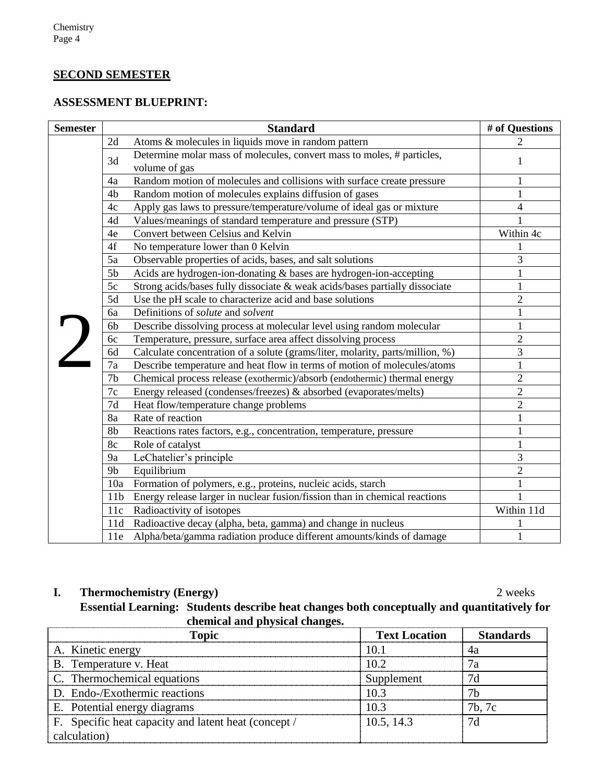# **SECOND SEMESTER**

# **ASSESSMENT BLUEPRINT:**

| <b>Semester</b> | <b>Standard</b>                                                                               | # of Questions |
|-----------------|-----------------------------------------------------------------------------------------------|----------------|
|                 | Atoms & molecules in liquids move in random pattern<br>2d                                     | $\overline{c}$ |
|                 | Determine molar mass of molecules, convert mass to moles, # particles,<br>3d<br>volume of gas | 1              |
|                 | Random motion of molecules and collisions with surface create pressure<br>4a                  | 1              |
|                 | Random motion of molecules explains diffusion of gases<br>4 <sub>b</sub>                      |                |
|                 | Apply gas laws to pressure/temperature/volume of ideal gas or mixture<br>4c                   | 4              |
|                 | Values/meanings of standard temperature and pressure (STP)<br>4d                              |                |
|                 | Convert between Celsius and Kelvin<br>4e                                                      | Within 4c      |
|                 | No temperature lower than 0 Kelvin<br>4f                                                      |                |
|                 | 5a<br>Observable properties of acids, bases, and salt solutions                               | 3              |
|                 | 5 <sub>b</sub><br>Acids are hydrogen-ion-donating & bases are hydrogen-ion-accepting          |                |
|                 | Strong acids/bases fully dissociate & weak acids/bases partially dissociate<br>5c             | $\mathbf{1}$   |
|                 | Use the pH scale to characterize acid and base solutions<br>5d                                | $\overline{2}$ |
|                 | Definitions of solute and solvent<br>6a                                                       | 1              |
|                 | Describe dissolving process at molecular level using random molecular<br>6b                   | $\mathbf{1}$   |
|                 | Temperature, pressure, surface area affect dissolving process<br>6c                           | $\overline{2}$ |
|                 | Calculate concentration of a solute (grams/liter, molarity, parts/million, %)<br>6d           | 3              |
|                 | 7a<br>Describe temperature and heat flow in terms of motion of molecules/atoms                | $\mathbf{1}$   |
|                 | 7 <sub>b</sub><br>Chemical process release (exothermic)/absorb (endothermic) thermal energy   | $\overline{2}$ |
|                 | Energy released (condenses/freezes) & absorbed (evaporates/melts)<br>7c                       | $\overline{2}$ |
|                 | 7d<br>Heat flow/temperature change problems                                                   | $\overline{2}$ |
|                 | Rate of reaction<br>8a                                                                        | $\mathbf{1}$   |
|                 | Reactions rates factors, e.g., concentration, temperature, pressure<br>8b                     | 1              |
|                 | 8c<br>Role of catalyst                                                                        | 1              |
|                 | 9a<br>LeChatelier's principle                                                                 | 3              |
|                 | Equilibrium<br>9 <sub>b</sub>                                                                 | $\overline{2}$ |
|                 | Formation of polymers, e.g., proteins, nucleic acids, starch<br>10a                           | 1              |
|                 | Energy release larger in nuclear fusion/fission than in chemical reactions<br>11 <sub>b</sub> | 1              |
|                 | Radioactivity of isotopes<br>11c                                                              | Within 11d     |
|                 | Radioactive decay (alpha, beta, gamma) and change in nucleus<br>11d                           |                |
|                 | Alpha/beta/gamma radiation produce different amounts/kinds of damage<br>11e                   | 1              |

# **I. Thermochemistry (Energy)** 2 weeks

**Essential Learning: Students describe heat changes both conceptually and quantitatively for chemical and physical changes.**

| <b>Topic</b>                                         | <b>Text Location</b> | <b>Standards</b> |
|------------------------------------------------------|----------------------|------------------|
| A. Kinetic energy                                    | 10.1                 | 4a               |
| B. Temperature v. Heat                               | 10.2                 |                  |
| C. Thermochemical equations                          | Supplement           | 7d               |
| D. Endo-/Exothermic reactions                        | 10.3                 |                  |
| E. Potential energy diagrams                         | 103                  | 7b, 7c           |
| F. Specific heat capacity and latent heat (concept / | 10.5, 14.3           | 7d               |
| calculation)                                         |                      |                  |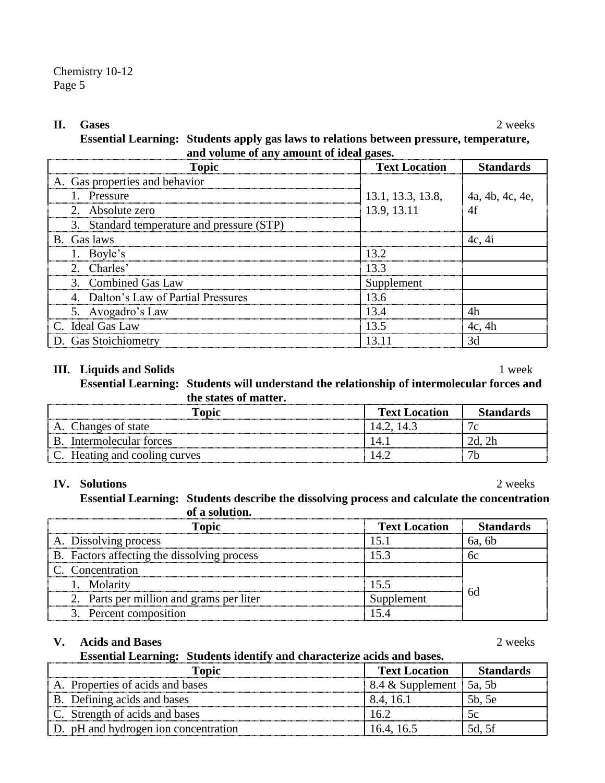#### **II. Gases** 2 weeks

**Essential Learning: Students apply gas laws to relations between pressure, temperature, and volume of any amount of ideal gases.**

| <b>Topic</b>                               | <b>Text Location</b> | <b>Standards</b> |
|--------------------------------------------|----------------------|------------------|
| A. Gas properties and behavior             |                      |                  |
| 1. Pressure                                | 13.1, 13.3, 13.8,    | 4a, 4b, 4c, 4e,  |
| 2. Absolute zero                           | 13.9, 13.11          | 4f               |
| 3. Standard temperature and pressure (STP) |                      |                  |
| B. Gas laws                                |                      | 4c, 4i           |
| 1. Boyle's                                 | 13.2                 |                  |
| 2. Charles'                                | 13.3                 |                  |
| 3. Combined Gas Law                        | Supplement           |                  |
| 4. Dalton's Law of Partial Pressures       | 13.6                 |                  |
| 5. Avogadro's Law                          | 13.4                 | 4h               |
| C. Ideal Gas Law                           | 13.5                 | 4c, 4h           |
| D. Gas Stoichiometry                       | 13 11                | 3d               |

#### **III. Liquids and Solids** 1 week

**Essential Learning: Students will understand the relationship of intermolecular forces and the states of matter.**

| Topic                         | <b>Text Location</b> | <b>Standards</b> |
|-------------------------------|----------------------|------------------|
| Changes of state              | $14.2$ , 14 5        | Ι٥               |
| Intermolecular forces         |                      |                  |
| C. Heating and cooling curves |                      |                  |

#### **IV. Solutions** 2 weeks

**Essential Learning: Students describe the dissolving process and calculate the concentration of a solution.**

| <b>Topic</b>                                | <b>Text Location</b> | <b>Standards</b> |
|---------------------------------------------|----------------------|------------------|
| A. Dissolving process                       |                      | 6a, 6b           |
| B. Factors affecting the dissolving process |                      | бc               |
| C. Concentration                            |                      |                  |
| 1. Molarity                                 | 15.5                 |                  |
| 2. Parts per million and grams per liter    | Supplement           | 6d               |
| 3. Percent composition                      |                      |                  |

#### **V. Acids and Bases** 2 weeks

**Essential Learning: Students identify and characterize acids and bases.**

| <b>Topic</b>                         | <b>Text Location</b>               | <b>Standards</b> |
|--------------------------------------|------------------------------------|------------------|
| A. Properties of acids and bases     | $8.4 \&$ Supplement $\vert$ 5a, 5b |                  |
| B. Defining acids and bases          | 8.4, 16.1                          | 5b, 5e           |
| C. Strength of acids and bases       | 16.2                               | 5c               |
| D. pH and hydrogen ion concentration | 16.4.16.5                          | 5d, 5f           |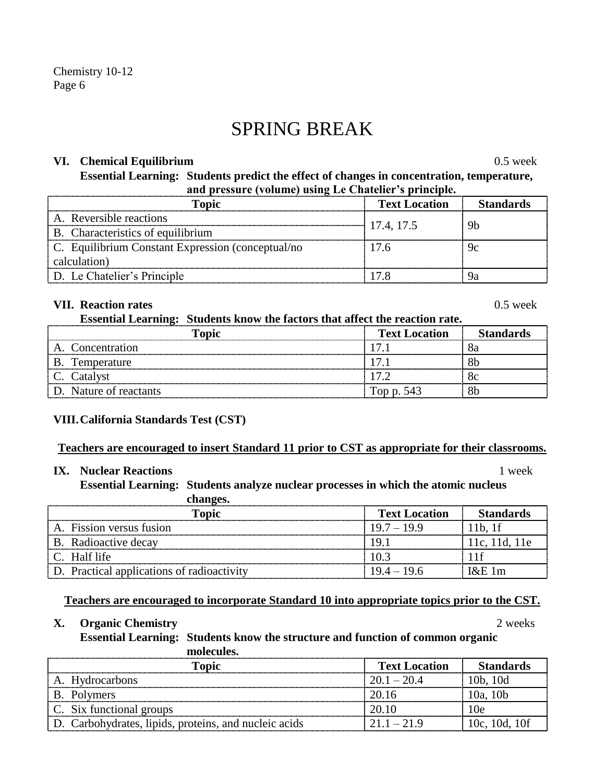# SPRING BREAK

#### **VI. Chemical Equilibrium** 0.5 week

**Essential Learning: Students predict the effect of changes in concentration, temperature, and pressure (volume) using Le Chatelier's principle.**

| <b>Topic</b>                                                 | <b>Text Location</b> | <b>Standards</b> |
|--------------------------------------------------------------|----------------------|------------------|
| A. Reversible reactions                                      | 17.4, 17.5           | 9h               |
| B. Characteristics of equilibrium                            |                      |                  |
| $\mathbb C$ . Equilibrium Constant Expression (conceptual/no | 17.6                 | 9с               |
| calculation)                                                 |                      |                  |
| D. Le Chatelier's Principle                                  |                      |                  |

# **VII. Reaction rates** 0.5 week

**Essential Learning: Students know the factors that affect the reaction rate.**

| <b>Topic</b>           | <b>Text Location</b> | <b>Standards</b> |
|------------------------|----------------------|------------------|
| A. Concentration       |                      |                  |
| B. Temperature         |                      |                  |
| C. Catalyst            |                      |                  |
| D. Nature of reactants | Top p. 543           |                  |

# **VIII.California Standards Test (CST)**

#### **Teachers are encouraged to insert Standard 11 prior to CST as appropriate for their classrooms.**

# **IX. Nuclear Reactions** 1 week

**Essential Learning: Students analyze nuclear processes in which the atomic nucleus** 

| changes.                                   |                      |                  |
|--------------------------------------------|----------------------|------------------|
| <b>Topic</b>                               | <b>Text Location</b> | <b>Standards</b> |
| A. Fission versus fusion                   | $19.7 - 19.9$        | 11b, 1f          |
| B. Radioactive decay                       | 191                  | 11c, 11d, 11e    |
| C. Half life                               | 10.3                 |                  |
| D. Practical applications of radioactivity | $19.4 - 19.6$        | $1\&E1m$         |

# **Teachers are encouraged to incorporate Standard 10 into appropriate topics prior to the CST.**

#### **X. Organic Chemistry** 2 weeks

**Essential Learning: Students know the structure and function of common organic molecules.**

**Topic Text Location Standards** A. Hydrocarbons  $20.1 - 20.4$  10b, 10d B. Polymers 20.16 10a, 10b C. Six functional groups  $\begin{array}{|c|c|c|c|c|c|c|c|c|} \hline \end{array}$  20.10  $\begin{array}{|c|c|c|c|c|c|c|c|c|} \hline \end{array}$  10e D. Carbohydrates, lipids, proteins, and nucleic acids  $21.1 - 21.9$  10c, 10d, 10f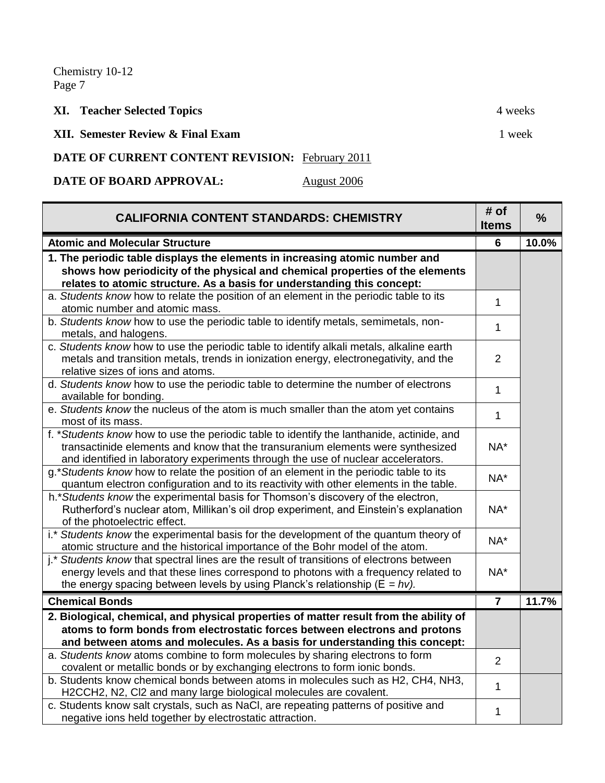# **XI. Teacher Selected Topics** 4 weeks

**XII. Semester Review & Final Exam** 1 week

### DATE OF CURRENT CONTENT REVISION: February 2011

**DATE OF BOARD APPROVAL:** August 2006

| <b>CALIFORNIA CONTENT STANDARDS: CHEMISTRY</b>                                                                                                                                                                                                                     | # of<br><b>Items</b> | $\frac{9}{6}$ |
|--------------------------------------------------------------------------------------------------------------------------------------------------------------------------------------------------------------------------------------------------------------------|----------------------|---------------|
| <b>Atomic and Molecular Structure</b>                                                                                                                                                                                                                              | 6                    | 10.0%         |
| 1. The periodic table displays the elements in increasing atomic number and                                                                                                                                                                                        |                      |               |
| shows how periodicity of the physical and chemical properties of the elements                                                                                                                                                                                      |                      |               |
| relates to atomic structure. As a basis for understanding this concept:                                                                                                                                                                                            |                      |               |
| a. Students know how to relate the position of an element in the periodic table to its<br>atomic number and atomic mass.                                                                                                                                           | 1                    |               |
| b. Students know how to use the periodic table to identify metals, semimetals, non-<br>metals, and halogens.                                                                                                                                                       | 1                    |               |
| c. Students know how to use the periodic table to identify alkali metals, alkaline earth<br>metals and transition metals, trends in ionization energy, electronegativity, and the<br>relative sizes of ions and atoms.                                             | $\overline{2}$       |               |
| d. Students know how to use the periodic table to determine the number of electrons<br>available for bonding.                                                                                                                                                      | $\mathbf{1}$         |               |
| e. Students know the nucleus of the atom is much smaller than the atom yet contains<br>most of its mass.                                                                                                                                                           | $\mathbf{1}$         |               |
| f. *Students know how to use the periodic table to identify the lanthanide, actinide, and<br>transactinide elements and know that the transuranium elements were synthesized<br>and identified in laboratory experiments through the use of nuclear accelerators.  | NA*                  |               |
| g.*Students know how to relate the position of an element in the periodic table to its<br>quantum electron configuration and to its reactivity with other elements in the table.                                                                                   | NA*                  |               |
| h.* Students know the experimental basis for Thomson's discovery of the electron,<br>Rutherford's nuclear atom, Millikan's oil drop experiment, and Einstein's explanation<br>of the photoelectric effect.                                                         | NA*                  |               |
| i.* Students know the experimental basis for the development of the quantum theory of<br>atomic structure and the historical importance of the Bohr model of the atom.                                                                                             | NA*                  |               |
| j.* Students know that spectral lines are the result of transitions of electrons between<br>energy levels and that these lines correspond to photons with a frequency related to<br>the energy spacing between levels by using Planck's relationship ( $E = hv$ ). | NA*                  |               |
| <b>Chemical Bonds</b>                                                                                                                                                                                                                                              | $\overline{7}$       | 11.7%         |
| 2. Biological, chemical, and physical properties of matter result from the ability of                                                                                                                                                                              |                      |               |
| atoms to form bonds from electrostatic forces between electrons and protons                                                                                                                                                                                        |                      |               |
| and between atoms and molecules. As a basis for understanding this concept:                                                                                                                                                                                        |                      |               |
| a. Students know atoms combine to form molecules by sharing electrons to form<br>covalent or metallic bonds or by exchanging electrons to form ionic bonds.                                                                                                        | $\overline{2}$       |               |
| b. Students know chemical bonds between atoms in molecules such as H2, CH4, NH3,<br>H2CCH2, N2, Cl2 and many large biological molecules are covalent.                                                                                                              | $\mathbf{1}$         |               |
| c. Students know salt crystals, such as NaCl, are repeating patterns of positive and<br>negative ions held together by electrostatic attraction.                                                                                                                   | 1                    |               |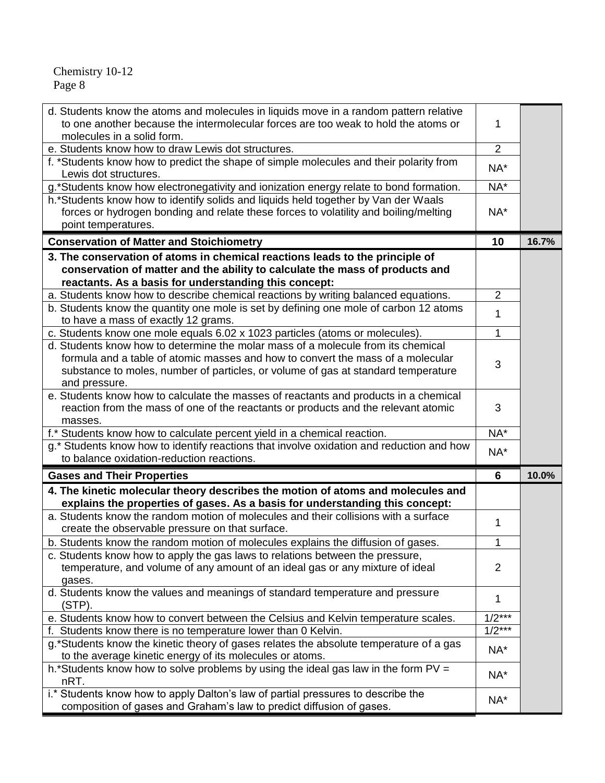| to one another because the intermolecular forces are too weak to hold the atoms or<br>molecules in a solid form.                                                     | 1              |       |
|----------------------------------------------------------------------------------------------------------------------------------------------------------------------|----------------|-------|
| e. Students know how to draw Lewis dot structures.                                                                                                                   | $\overline{2}$ |       |
| f. *Students know how to predict the shape of simple molecules and their polarity from<br>Lewis dot structures.                                                      | NA*            |       |
| g.*Students know how electronegativity and ionization energy relate to bond formation.                                                                               | NA*            |       |
| h.*Students know how to identify solids and liquids held together by Van der Waals                                                                                   |                |       |
| forces or hydrogen bonding and relate these forces to volatility and boiling/melting                                                                                 | NA*            |       |
| point temperatures.                                                                                                                                                  |                |       |
| <b>Conservation of Matter and Stoichiometry</b>                                                                                                                      | 10             | 16.7% |
| 3. The conservation of atoms in chemical reactions leads to the principle of                                                                                         |                |       |
| conservation of matter and the ability to calculate the mass of products and                                                                                         |                |       |
| reactants. As a basis for understanding this concept:                                                                                                                |                |       |
| a. Students know how to describe chemical reactions by writing balanced equations.                                                                                   | $\overline{2}$ |       |
| b. Students know the quantity one mole is set by defining one mole of carbon 12 atoms                                                                                | 1              |       |
| to have a mass of exactly 12 grams.                                                                                                                                  |                |       |
| c. Students know one mole equals 6.02 x 1023 particles (atoms or molecules).                                                                                         | $\mathbf{1}$   |       |
| d. Students know how to determine the molar mass of a molecule from its chemical                                                                                     |                |       |
| formula and a table of atomic masses and how to convert the mass of a molecular                                                                                      | 3              |       |
| substance to moles, number of particles, or volume of gas at standard temperature                                                                                    |                |       |
| and pressure.                                                                                                                                                        |                |       |
| e. Students know how to calculate the masses of reactants and products in a chemical                                                                                 |                |       |
| reaction from the mass of one of the reactants or products and the relevant atomic                                                                                   | 3              |       |
| masses.                                                                                                                                                              | NA*            |       |
| f.* Students know how to calculate percent yield in a chemical reaction.<br>g.* Students know how to identify reactions that involve oxidation and reduction and how |                |       |
| to balance oxidation-reduction reactions.                                                                                                                            | NA*            |       |
|                                                                                                                                                                      |                |       |
| <b>Gases and Their Properties</b>                                                                                                                                    | 6              | 10.0% |
| 4. The kinetic molecular theory describes the motion of atoms and molecules and                                                                                      |                |       |
| explains the properties of gases. As a basis for understanding this concept:                                                                                         |                |       |
|                                                                                                                                                                      |                |       |
| a. Students know the random motion of molecules and their collisions with a surface                                                                                  |                |       |
| create the observable pressure on that surface.                                                                                                                      | 1              |       |
| b. Students know the random motion of molecules explains the diffusion of gases.                                                                                     | $\mathbf{1}$   |       |
| c. Students know how to apply the gas laws to relations between the pressure,                                                                                        |                |       |
| temperature, and volume of any amount of an ideal gas or any mixture of ideal                                                                                        | $\overline{2}$ |       |
| gases.                                                                                                                                                               |                |       |
| d. Students know the values and meanings of standard temperature and pressure                                                                                        | 1              |       |
| (STP).                                                                                                                                                               |                |       |
| e. Students know how to convert between the Celsius and Kelvin temperature scales.                                                                                   | $1/2***$       |       |
| f. Students know there is no temperature lower than 0 Kelvin.                                                                                                        | $1/2***$       |       |
| g.*Students know the kinetic theory of gases relates the absolute temperature of a gas                                                                               | NA*            |       |
| to the average kinetic energy of its molecules or atoms.                                                                                                             |                |       |
| h.*Students know how to solve problems by using the ideal gas law in the form $PV =$                                                                                 | NA*            |       |
| nRT.<br>i.* Students know how to apply Dalton's law of partial pressures to describe the                                                                             | NA*            |       |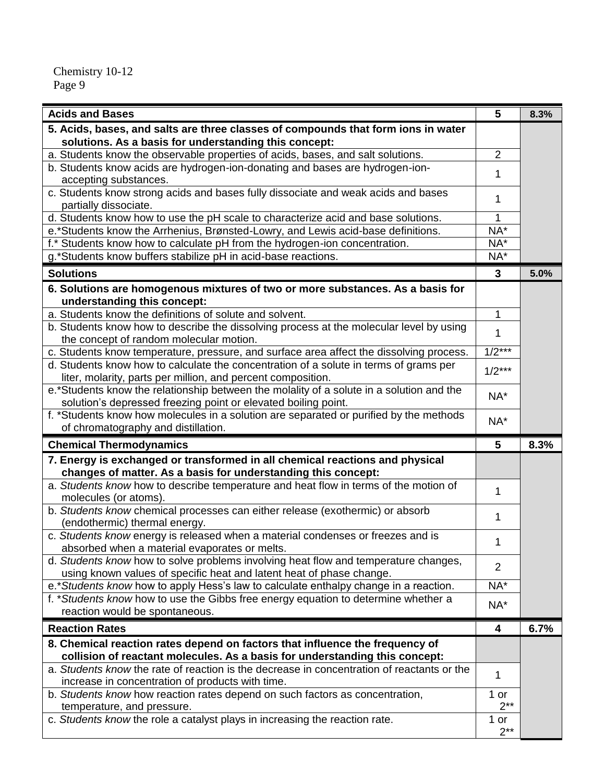| <b>Acids and Bases</b>                                                                                                                                     | 5              | 8.3% |
|------------------------------------------------------------------------------------------------------------------------------------------------------------|----------------|------|
| 5. Acids, bases, and salts are three classes of compounds that form ions in water                                                                          |                |      |
| solutions. As a basis for understanding this concept:                                                                                                      |                |      |
| a. Students know the observable properties of acids, bases, and salt solutions.                                                                            | $\overline{2}$ |      |
| b. Students know acids are hydrogen-ion-donating and bases are hydrogen-ion-                                                                               | 1              |      |
| accepting substances.                                                                                                                                      |                |      |
| c. Students know strong acids and bases fully dissociate and weak acids and bases<br>partially dissociate.                                                 | 1              |      |
| d. Students know how to use the pH scale to characterize acid and base solutions.                                                                          | 1              |      |
| e.*Students know the Arrhenius, Brønsted-Lowry, and Lewis acid-base definitions.                                                                           | NA*            |      |
| f.* Students know how to calculate pH from the hydrogen-ion concentration.                                                                                 | NA*            |      |
| g.*Students know buffers stabilize pH in acid-base reactions.                                                                                              | NA*            |      |
| <b>Solutions</b>                                                                                                                                           | 3              | 5.0% |
| 6. Solutions are homogenous mixtures of two or more substances. As a basis for                                                                             |                |      |
| understanding this concept:                                                                                                                                |                |      |
| a. Students know the definitions of solute and solvent.                                                                                                    | 1              |      |
| b. Students know how to describe the dissolving process at the molecular level by using                                                                    | 1              |      |
| the concept of random molecular motion.                                                                                                                    |                |      |
| c. Students know temperature, pressure, and surface area affect the dissolving process.                                                                    | $1/2***$       |      |
| d. Students know how to calculate the concentration of a solute in terms of grams per                                                                      | $1/2***$       |      |
| liter, molarity, parts per million, and percent composition.                                                                                               |                |      |
| e.*Students know the relationship between the molality of a solute in a solution and the<br>solution's depressed freezing point or elevated boiling point. | NA*            |      |
| f. *Students know how molecules in a solution are separated or purified by the methods                                                                     |                |      |
| of chromatography and distillation.                                                                                                                        | NA*            |      |
| <b>Chemical Thermodynamics</b>                                                                                                                             | 5              | 8.3% |
| 7. Energy is exchanged or transformed in all chemical reactions and physical                                                                               |                |      |
| changes of matter. As a basis for understanding this concept:                                                                                              |                |      |
| a. Students know how to describe temperature and heat flow in terms of the motion of                                                                       | 1              |      |
| molecules (or atoms).                                                                                                                                      |                |      |
| b. Students know chemical processes can either release (exothermic) or absorb                                                                              | 1              |      |
| (endothermic) thermal energy.                                                                                                                              |                |      |
| c. Students know energy is released when a material condenses or freezes and is                                                                            | 1              |      |
| absorbed when a material evaporates or melts.<br>d. Students know how to solve problems involving heat flow and temperature changes,                       |                |      |
| using known values of specific heat and latent heat of phase change.                                                                                       | $\overline{2}$ |      |
| e.* Students know how to apply Hess's law to calculate enthalpy change in a reaction.                                                                      | NA*            |      |
| f. *Students know how to use the Gibbs free energy equation to determine whether a                                                                         |                |      |
| reaction would be spontaneous.                                                                                                                             | NA*            |      |
| <b>Reaction Rates</b>                                                                                                                                      | 4              | 6.7% |
| 8. Chemical reaction rates depend on factors that influence the frequency of                                                                               |                |      |
| collision of reactant molecules. As a basis for understanding this concept:                                                                                |                |      |
| a. Students know the rate of reaction is the decrease in concentration of reactants or the                                                                 | 1              |      |
| increase in concentration of products with time.                                                                                                           |                |      |
| b. Students know how reaction rates depend on such factors as concentration,                                                                               | 1 or           |      |
| temperature, and pressure.                                                                                                                                 | $2**$          |      |
| c. Students know the role a catalyst plays in increasing the reaction rate.                                                                                | 1 or<br>$2**$  |      |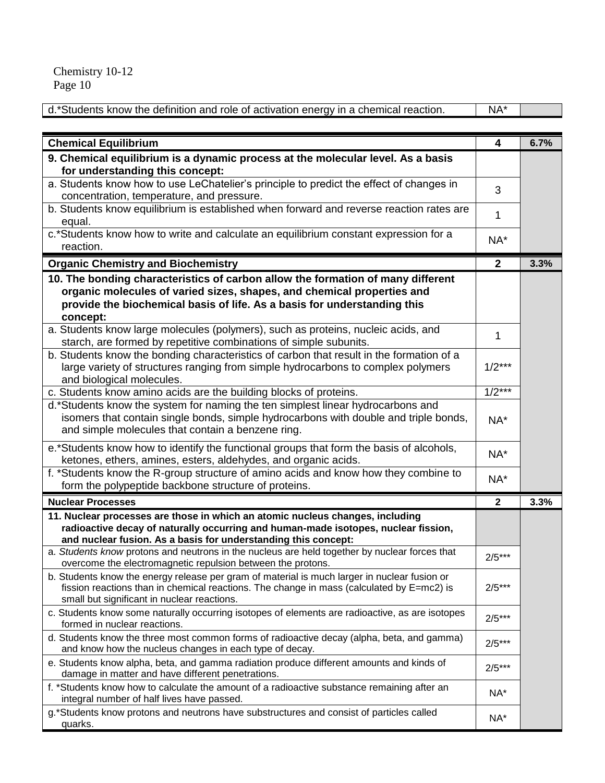| d.*Students know the definition and role of activation energy in a chemical reaction. | NA* |  |
|---------------------------------------------------------------------------------------|-----|--|

| <b>Chemical Equilibrium</b>                                                                                                                                                                                                                       | 4            | 6.7% |
|---------------------------------------------------------------------------------------------------------------------------------------------------------------------------------------------------------------------------------------------------|--------------|------|
| 9. Chemical equilibrium is a dynamic process at the molecular level. As a basis<br>for understanding this concept:                                                                                                                                |              |      |
| a. Students know how to use LeChatelier's principle to predict the effect of changes in<br>concentration, temperature, and pressure.                                                                                                              | 3            |      |
| b. Students know equilibrium is established when forward and reverse reaction rates are<br>equal.                                                                                                                                                 | 1            |      |
| c.*Students know how to write and calculate an equilibrium constant expression for a<br>reaction.                                                                                                                                                 | NA*          |      |
| <b>Organic Chemistry and Biochemistry</b>                                                                                                                                                                                                         | $\mathbf{2}$ | 3.3% |
| 10. The bonding characteristics of carbon allow the formation of many different<br>organic molecules of varied sizes, shapes, and chemical properties and<br>provide the biochemical basis of life. As a basis for understanding this<br>concept: |              |      |
| a. Students know large molecules (polymers), such as proteins, nucleic acids, and<br>starch, are formed by repetitive combinations of simple subunits.                                                                                            | 1            |      |
| b. Students know the bonding characteristics of carbon that result in the formation of a<br>large variety of structures ranging from simple hydrocarbons to complex polymers<br>and biological molecules.                                         | $1/2***$     |      |
| c. Students know amino acids are the building blocks of proteins.                                                                                                                                                                                 | $1/2***$     |      |
| d.*Students know the system for naming the ten simplest linear hydrocarbons and<br>isomers that contain single bonds, simple hydrocarbons with double and triple bonds,<br>and simple molecules that contain a benzene ring.                      | NA*          |      |
| e.*Students know how to identify the functional groups that form the basis of alcohols,<br>ketones, ethers, amines, esters, aldehydes, and organic acids.                                                                                         | NA*          |      |
| f. *Students know the R-group structure of amino acids and know how they combine to<br>form the polypeptide backbone structure of proteins.                                                                                                       | NA*          |      |
| <b>Nuclear Processes</b>                                                                                                                                                                                                                          | $\mathbf{2}$ | 3.3% |
| 11. Nuclear processes are those in which an atomic nucleus changes, including<br>radioactive decay of naturally occurring and human-made isotopes, nuclear fission,<br>and nuclear fusion. As a basis for understanding this concept:             |              |      |
| a. Students know protons and neutrons in the nucleus are held together by nuclear forces that<br>overcome the electromagnetic repulsion between the protons.                                                                                      | $2/5***$     |      |
| b. Students know the energy release per gram of material is much larger in nuclear fusion or<br>fission reactions than in chemical reactions. The change in mass (calculated by E=mc2) is<br>small but significant in nuclear reactions.          | $2/5***$     |      |
| c. Students know some naturally occurring isotopes of elements are radioactive, as are isotopes<br>formed in nuclear reactions.                                                                                                                   | $2/5***$     |      |
| d. Students know the three most common forms of radioactive decay (alpha, beta, and gamma)<br>and know how the nucleus changes in each type of decay.                                                                                             | $2/5***$     |      |
| e. Students know alpha, beta, and gamma radiation produce different amounts and kinds of<br>damage in matter and have different penetrations.                                                                                                     | $2/5***$     |      |
| f. *Students know how to calculate the amount of a radioactive substance remaining after an<br>integral number of half lives have passed.                                                                                                         | NA*          |      |
| g.*Students know protons and neutrons have substructures and consist of particles called<br>quarks.                                                                                                                                               | NA*          |      |